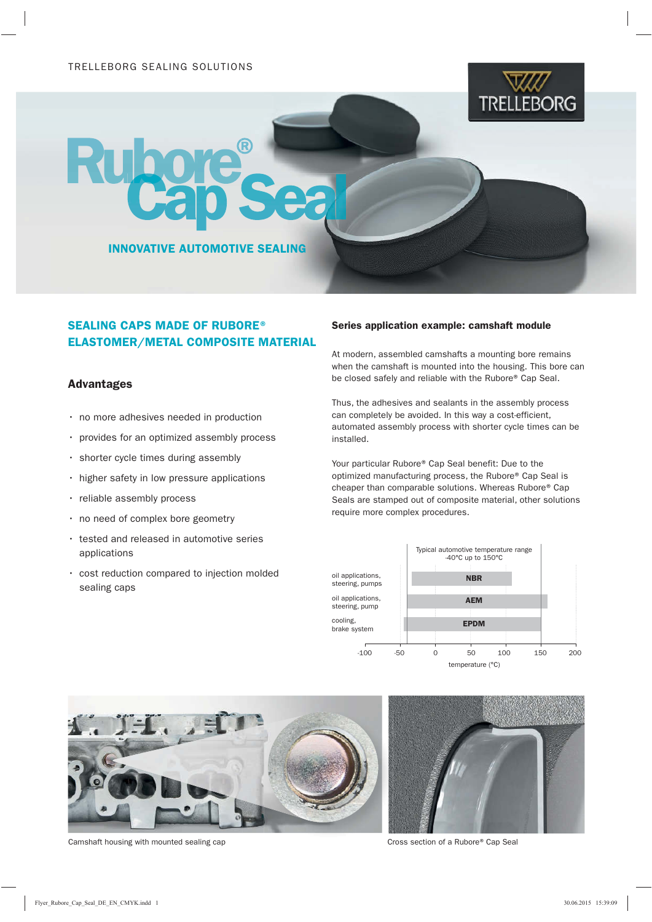

INNOVATIVE AUTOMOTIVE SEALING

## SEALING CAPS MADE OF RUBORE® ELASTOMER/METAL COMPOSITE MATERIAL

## Advantages

- no more adhesives needed in production
- provides for an optimized assembly process
- shorter cycle times during assembly
- higher safety in low pressure applications
- reliable assembly process
- no need of complex bore geometry
- tested and released in automotive series applications
- cost reduction compared to injection molded sealing caps

## Series application example: camshaft module

At modern, assembled camshafts a mounting bore remains when the camshaft is mounted into the housing. This bore can be closed safely and reliable with the Rubore® Cap Seal.

Thus, the adhesives and sealants in the assembly process can completely be avoided. In this way a cost-efficient, automated assembly process with shorter cycle times can be installed.

Your particular Rubore® Cap Seal benefit: Due to the optimized manufacturing process, the Rubore® Cap Seal is cheaper than comparable solutions. Whereas Rubore® Cap Seals are stamped out of composite material, other solutions require more complex procedures.





Camshaft housing with mounted sealing cap Cap Cross section of a Rubore® Cap Seal